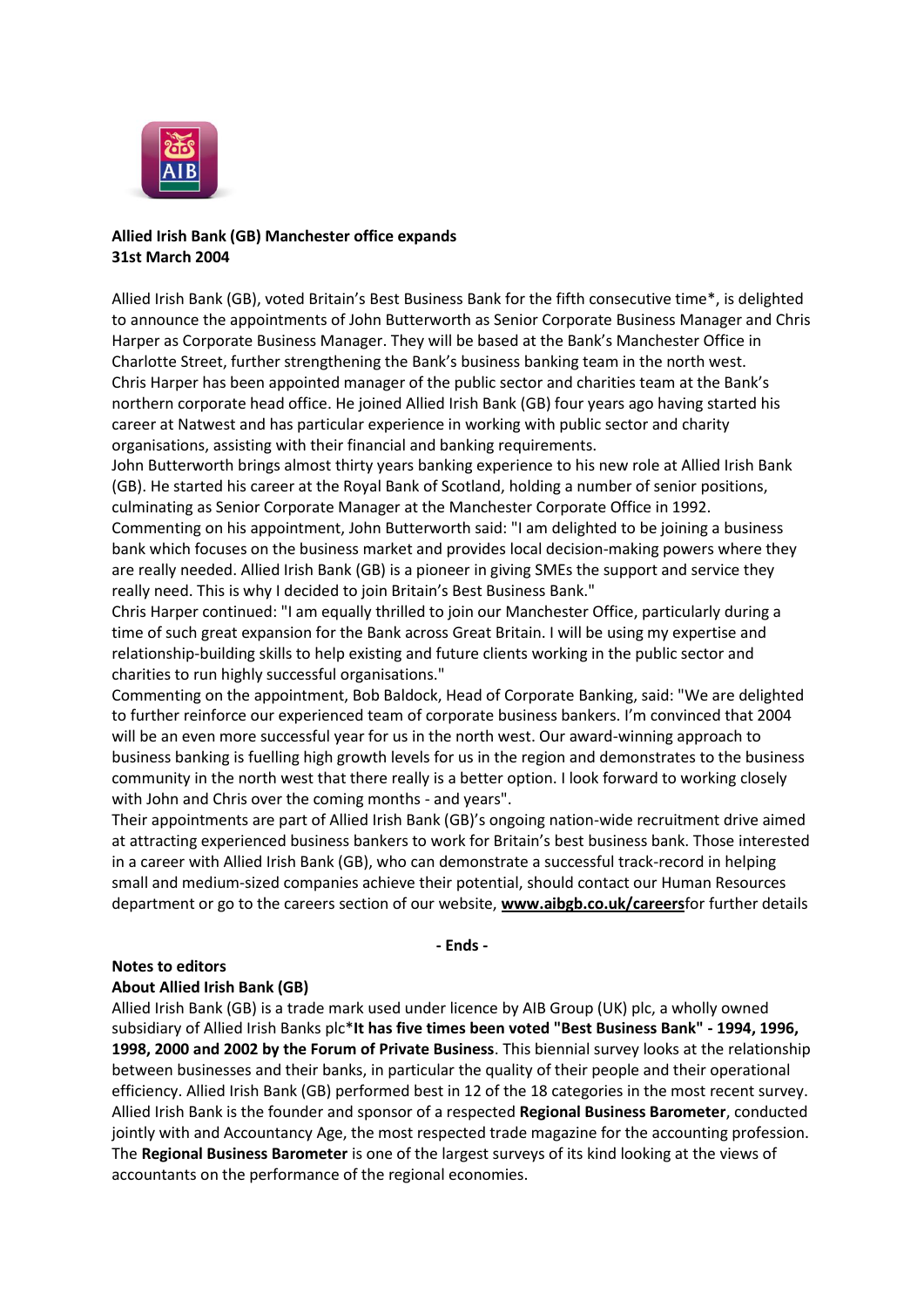

## **Allied Irish Bank (GB) Manchester office expands 31st March 2004**

Allied Irish Bank (GB), voted Britain's Best Business Bank for the fifth consecutive time\*, is delighted to announce the appointments of John Butterworth as Senior Corporate Business Manager and Chris Harper as Corporate Business Manager. They will be based at the Bank's Manchester Office in Charlotte Street, further strengthening the Bank's business banking team in the north west. Chris Harper has been appointed manager of the public sector and charities team at the Bank's northern corporate head office. He joined Allied Irish Bank (GB) four years ago having started his career at Natwest and has particular experience in working with public sector and charity organisations, assisting with their financial and banking requirements.

John Butterworth brings almost thirty years banking experience to his new role at Allied Irish Bank (GB). He started his career at the Royal Bank of Scotland, holding a number of senior positions, culminating as Senior Corporate Manager at the Manchester Corporate Office in 1992. Commenting on his appointment, John Butterworth said: "I am delighted to be joining a business bank which focuses on the business market and provides local decision-making powers where they are really needed. Allied Irish Bank (GB) is a pioneer in giving SMEs the support and service they really need. This is why I decided to join Britain's Best Business Bank."

Chris Harper continued: "I am equally thrilled to join our Manchester Office, particularly during a time of such great expansion for the Bank across Great Britain. I will be using my expertise and relationship-building skills to help existing and future clients working in the public sector and charities to run highly successful organisations."

Commenting on the appointment, Bob Baldock, Head of Corporate Banking, said: "We are delighted to further reinforce our experienced team of corporate business bankers. I'm convinced that 2004 will be an even more successful year for us in the north west. Our award-winning approach to business banking is fuelling high growth levels for us in the region and demonstrates to the business community in the north west that there really is a better option. I look forward to working closely with John and Chris over the coming months - and years".

Their appointments are part of Allied Irish Bank (GB)'s ongoing nation-wide recruitment drive aimed at attracting experienced business bankers to work for Britain's best business bank. Those interested in a career with Allied Irish Bank (GB), who can demonstrate a successful track-record in helping small and medium-sized companies achieve their potential, should contact our Human Resources department or go to the careers section of our website, **[www.aibgb.co.uk/careers](http://www.aibgb.co.uk/careers)**for further details

**- Ends -**

## **Notes to editors**

## **About Allied Irish Bank (GB)**

Allied Irish Bank (GB) is a trade mark used under licence by AIB Group (UK) plc, a wholly owned subsidiary of Allied Irish Banks plc\***It has five times been voted "Best Business Bank" - 1994, 1996, 1998, 2000 and 2002 by the Forum of Private Business**. This biennial survey looks at the relationship between businesses and their banks, in particular the quality of their people and their operational efficiency. Allied Irish Bank (GB) performed best in 12 of the 18 categories in the most recent survey. Allied Irish Bank is the founder and sponsor of a respected **Regional Business Barometer**, conducted jointly with and Accountancy Age, the most respected trade magazine for the accounting profession. The **Regional Business Barometer** is one of the largest surveys of its kind looking at the views of accountants on the performance of the regional economies.